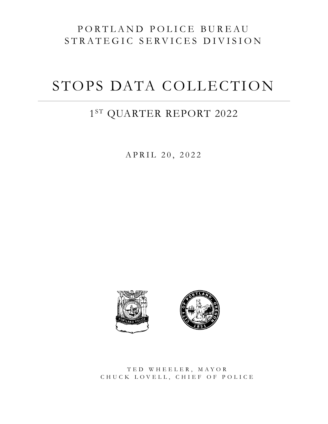# PORTLAND POLICE BUREAU STRATEGIC SERVICES DIVISION

# STOPS DATA COLLECTION

# $1^{\rm ST}$  QUARTER REPORT 2022

APRIL 20, 2022





TED WHEELER, MAYOR CHUCK LOVELL, CHIEF OF POLICE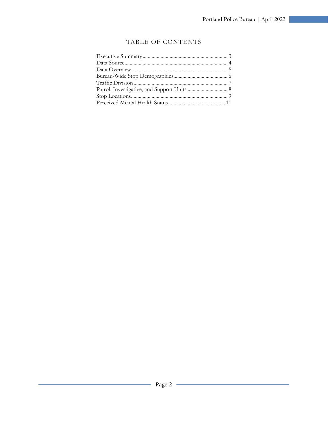#### TABLE OF CONTENTS

<u> 1989 - Jan Barnett, fransk politik (d. 1989)</u>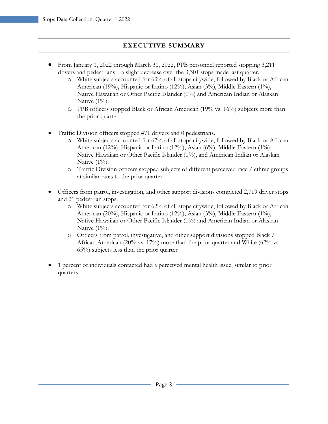### **EXECUTIVE SUMMARY**

- From January 1, 2022 through March 31, 2022, PPB personnel reported stopping 3,211 drivers and pedestrians – a slight decrease over the 3,301 stops made last quarter.
	- o White subjects accounted for 63% of all stops citywide, followed by Black or African American (19%), Hispanic or Latino (12%), Asian (3%), Middle Eastern (1%), Native Hawaiian or Other Pacific Islander (1%) and American Indian or Alaskan Native  $(1\%)$ .
	- o PPB officers stopped Black or African American (19% vs. 16%) subjects more than the prior quarter.
- Traffic Division officers stopped 471 drivers and 0 pedestrians.
	- o White subjects accounted for 67% of all stops citywide, followed by Black or African American (12%), Hispanic or Latino (12%), Asian (6%), Middle Eastern (1%), Native Hawaiian or Other Pacific Islander (1%), and American Indian or Alaskan Native  $(1\%)$ .
	- o Traffic Division officers stopped subjects of different perceived race / ethnic groups at similar rates to the prior quarter.
- Officers from patrol, investigation, and other support divisions completed 2,719 driver stops and 21 pedestrian stops.
	- o White subjects accounted for 62% of all stops citywide, followed by Black or African American (20%), Hispanic or Latino (12%), Asian (3%), Middle Eastern (1%), Native Hawaiian or Other Pacific Islander (1%) and American Indian or Alaskan Native  $(1\%)$ .
	- o Officers from patrol, investigative, and other support divisions stopped Black / African American (20% vs. 17%) more than the prior quarter and White (62% vs. 65%) subjects less than the prior quarter
- 1 percent of individuals contacted had a perceived mental health issue, similar to prior quarters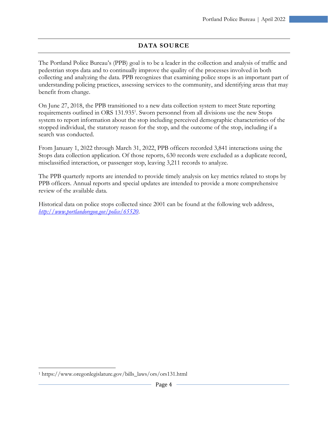# **DATA SOURCE**

The Portland Police Bureau's (PPB) goal is to be a leader in the collection and analysis of traffic and pedestrian stops data and to continually improve the quality of the processes involved in both collecting and analyzing the data. PPB recognizes that examining police stops is an important part of understanding policing practices, assessing services to the community, and identifying areas that may benefit from change.

On June 27, 2018, the PPB transitioned to a new data collection system to meet State reporting requirements outlined in ORS 131.935<sup>1</sup>. Sworn personnel from all divisions use the new Stops system to report information about the stop including perceived demographic characteristics of the stopped individual, the statutory reason for the stop, and the outcome of the stop, including if a search was conducted.

From January 1, 2022 through March 31, 2022, PPB officers recorded 3,841 interactions using the Stops data collection application. Of those reports, 630 records were excluded as a duplicate record, misclassified interaction, or passenger stop, leaving 3,211 records to analyze.

The PPB quarterly reports are intended to provide timely analysis on key metrics related to stops by PPB officers. Annual reports and special updates are intended to provide a more comprehensive review of the available data.

Historical data on police stops collected since 2001 can be found at the following web address, *http://www.portlandoregon.gov/police/65520*.

 $\overline{a}$ 

<sup>1</sup> https://www.oregonlegislature.gov/bills\_laws/ors/ors131.html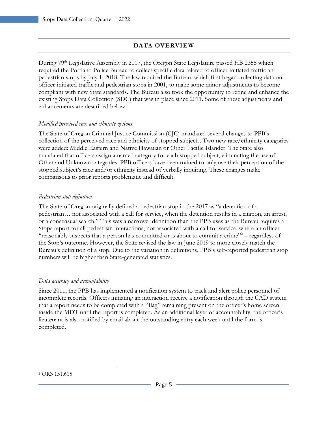# **DATA OVERVIEW**

During 79<sup>th</sup> Legislative Assembly in 2017, the Oregon State Legislature passed HB 2355 which required the Portland Police Bureau to collect specific data related to officer-initiated traffic and pedestrian stops by July 1, 2018. The law required the Bureau, which first began collecting data on officer-initiated traffic and pedestrian stops in 2001, to make some minor adjustments to become compliant with new State standards. The Bureau also took the opportunity to refine and enhance the existing Stops Data Collection (SDC) that was in place since 2011. Some of these adjustments and enhancements are described below.

#### *Modified perceived race and ethnicity options*

The State of Oregon Criminal Justice Commission (CJC) mandated several changes to PPB's collection of the perceived race and ethnicity of stopped subjects. Two new race/ethnicity categories were added: Middle Eastern and Native Hawaiian or Other Pacific Islander. The State also mandated that officers assign a named category for each stopped subject, eliminating the use of Other and Unknown categories. PPB officers have been trained to only use their perception of the stopped subject's race and/or ethnicity instead of verbally inquiring. These changes make comparisons to prior reports problematic and difficult.

#### *Pedestrian stop definition*

The State of Oregon originally defined a pedestrian stop in the 2017 as "a detention of a pedestrian… not associated with a call for service, when the detention results in a citation, an arrest, or a consensual search." This was a narrower definition than the PPB uses as the Bureau requires a Stops report for all pedestrian interactions, not associated with a call for service, where an officer "reasonably suspects that a person has committed or is about to commit a crime"<sup>2</sup> - regardless of the Stop's outcome. However, the State revised the law in June 2019 to more closely match the Bureau's definition of a stop. Due to the variation in definitions, PPB's self-reported pedestrian stop numbers will be higher than State-generated statistics.

#### *Data accuracy and accountability*

Since 2011, the PPB has implemented a notification system to track and alert police personnel of incomplete records. Officers initiating an interaction receive a notification through the CAD system that a report needs to be completed with a "flag" remaining present on the officer's home screen inside the MDT until the report is completed. As an additional layer of accountability, the officer's lieutenant is also notified by email about the outstanding entry each week until the form is completed.

 $\overline{a}$ 2 ORS 131.615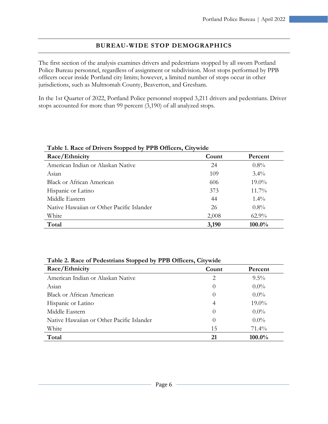# **BUREAU-WIDE STOP DEMOGRAPHICS**

The first section of the analysis examines drivers and pedestrians stopped by all sworn Portland Police Bureau personnel, regardless of assignment or subdivision. Most stops performed by PPB officers occur inside Portland city limits; however, a limited number of stops occur in other jurisdictions, such as Multnomah County, Beaverton, and Gresham.

In the 1st Quarter of 2022, Portland Police personnel stopped 3,211 drivers and pedestrians. Driver stops accounted for more than 99 percent (3,190) of all analyzed stops.

| Race/Ethnicity                            | Count | Percent  |
|-------------------------------------------|-------|----------|
| American Indian or Alaskan Native         | 24    | $0.8\%$  |
| Asian                                     | 109   | $3.4\%$  |
| Black or African American                 | 606   | $19.0\%$ |
| Hispanic or Latino                        | 373   | $11.7\%$ |
| Middle Eastern                            | 44    | $1.4\%$  |
| Native Hawaiian or Other Pacific Islander | 26    | $0.8\%$  |
| White                                     | 2,008 | $62.9\%$ |
| Total                                     | 3,190 | 100.0%   |

| Table 1. Race of Drivers Stopped by PPB Officers, Citywide |
|------------------------------------------------------------|
|------------------------------------------------------------|

| Table 2. Race of Pedestrians Stopped by PPB Officers, Citywide |          |          |
|----------------------------------------------------------------|----------|----------|
| Race/Ethnicity                                                 | Count    | Percent  |
| American Indian or Alaskan Native                              | 2        | $9.5\%$  |
| Asian                                                          | $\theta$ | $0.0\%$  |
| Black or African American                                      | $\theta$ | $0.0\%$  |
| Hispanic or Latino                                             | 4        | $19.0\%$ |
| Middle Eastern                                                 | $\Omega$ | $0.0\%$  |
| Native Hawaiian or Other Pacific Islander                      | $\theta$ | $0.0\%$  |
| White                                                          | 15       | $71.4\%$ |
| Total                                                          | 21       | 100.0%   |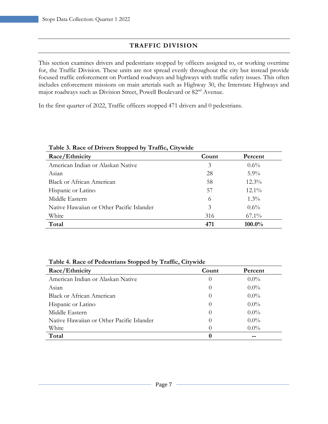# **TRAFFIC DIVISION**

This section examines drivers and pedestrians stopped by officers assigned to, or working overtime for, the Traffic Division. These units are not spread evenly throughout the city but instead provide focused traffic enforcement on Portland roadways and highways with traffic safety issues. This often includes enforcement missions on main arterials such as Highway 30, the Interstate Highways and major roadways such as Division Street, Powell Boulevard or 82nd Avenue.

In the first quarter of 2022, Traffic officers stopped 471 drivers and 0 pedestrians.

| Lable 3. Race of Drivers Stopped by Traffic, Citywide |       |           |
|-------------------------------------------------------|-------|-----------|
| Race/Ethnicity                                        | Count | Percent   |
| American Indian or Alaskan Native                     | 3     | $0.6\%$   |
| Asian                                                 | 28    | $5.9\%$   |
| Black or African American                             | 58    | $12.3\%$  |
| Hispanic or Latino                                    | 57    | $12.1\%$  |
| Middle Eastern                                        | 6     | $1.3\%$   |
| Native Hawaiian or Other Pacific Islander             | 3     | $0.6\%$   |
| White                                                 | 316   | $67.1\%$  |
| Total                                                 | 471   | $100.0\%$ |

#### **Table 3. Race of Drivers Stopped by Traffic, Citywide**

|  | Table 4. Race of Pedestrians Stopped by Traffic, Citywide |  |  |
|--|-----------------------------------------------------------|--|--|
|  |                                                           |  |  |

| Race/Ethnicity                            | Count    | Percent |
|-------------------------------------------|----------|---------|
| American Indian or Alaskan Native         | $\theta$ | $0.0\%$ |
| Asian                                     | $\theta$ | $0.0\%$ |
| <b>Black or African American</b>          | $\theta$ | $0.0\%$ |
| Hispanic or Latino                        | $\theta$ | $0.0\%$ |
| Middle Eastern                            | $\theta$ | $0.0\%$ |
| Native Hawaiian or Other Pacific Islander | $\theta$ | $0.0\%$ |
| White                                     | $\theta$ | $0.0\%$ |
| Total                                     |          |         |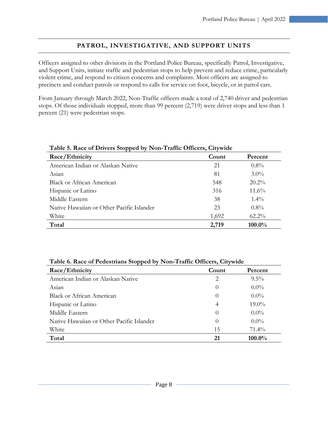# **PATROL, INVESTIGATIVE, AND SUPPORT UNITS**

Officers assigned to other divisions in the Portland Police Bureau, specifically Patrol, Investigative, and Support Units, initiate traffic and pedestrian stops to help prevent and reduce crime, particularly violent crime, and respond to citizen concerns and complaints. Most officers are assigned to precincts and conduct patrols or respond to calls for service on foot, bicycle, or in patrol cars.

From January through March 2022, Non-Traffic officers made a total of 2,740 driver and pedestrian stops. Of those individuals stopped, more than 99 percent (2,719) were driver stops and less than 1 percent (21) were pedestrian stops.

| Table 5. Race of Drivers Stopped by Non-Traffic Officers, Citywide |       |          |
|--------------------------------------------------------------------|-------|----------|
| Race/Ethnicity                                                     | Count | Percent  |
| American Indian or Alaskan Native                                  | 21    | $0.8\%$  |
| Asian                                                              | 81    | $3.0\%$  |
| <b>Black or African American</b>                                   | 548   | $20.2\%$ |
| Hispanic or Latino                                                 | 316   | $11.6\%$ |
| Middle Eastern                                                     | 38    | $1.4\%$  |
| Native Hawaiian or Other Pacific Islander                          | 23    | $0.8\%$  |
| White                                                              | 1,692 | $62.2\%$ |
| Total                                                              | 2,719 | 100.0%   |

| Table 5. Race of Drivers Stopped by Non-Traffic Officers, Citywide |  |
|--------------------------------------------------------------------|--|
|                                                                    |  |

| Table 6. Race of Pedestrians Stopped by Non-Traffic Officers, Citywide |
|------------------------------------------------------------------------|
|------------------------------------------------------------------------|

| Race/Ethnicity                            | Count          | Percent  |
|-------------------------------------------|----------------|----------|
| American Indian or Alaskan Native         | 2              | $9.5\%$  |
| Asian                                     | $\theta$       | $0.0\%$  |
| <b>Black or African American</b>          | $\theta$       | $0.0\%$  |
| Hispanic or Latino                        | $\overline{4}$ | $19.0\%$ |
| Middle Eastern                            | $\theta$       | $0.0\%$  |
| Native Hawaiian or Other Pacific Islander | $\theta$       | $0.0\%$  |
| White                                     | 15             | $71.4\%$ |
| Total                                     | 21             | 100.0%   |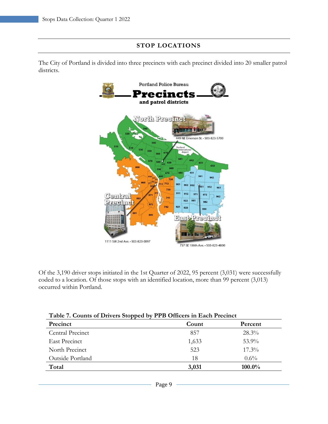#### **STOP LOCATIONS**

The City of Portland is divided into three precincts with each precinct divided into 20 smaller patrol districts.



Of the 3,190 driver stops initiated in the 1st Quarter of 2022, 95 percent (3,031) were successfully coded to a location. Of those stops with an identified location, more than 99 percent (3,013) occurred within Portland.

| Table 7. Counts of Drivers Stopped by PPB Officers in Each Precinct |       |          |
|---------------------------------------------------------------------|-------|----------|
| Precinct                                                            | Count | Percent  |
| Central Precinct                                                    | 857   | $28.3\%$ |
| East Precinct                                                       | 1,633 | $53.9\%$ |
| North Precinct                                                      | 523   | $17.3\%$ |
| Outside Portland                                                    | 18    | $0.6\%$  |
| Total                                                               | 3,031 | 100.0%   |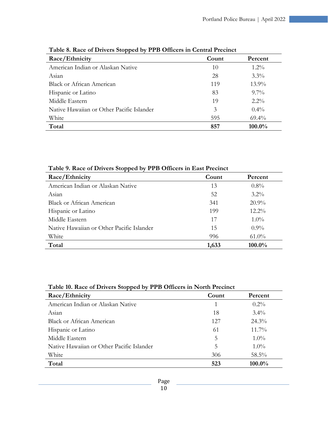| Race/Ethnicity                            | Count | Percent  |
|-------------------------------------------|-------|----------|
| American Indian or Alaskan Native         | 10    | $1.2\%$  |
| Asian                                     | 28    | $3.3\%$  |
| <b>Black or African American</b>          | 119   | $13.9\%$ |
| Hispanic or Latino                        | 83    | $9.7\%$  |
| Middle Eastern                            | 19    | $2.2\%$  |
| Native Hawaiian or Other Pacific Islander | 3     | $0.4\%$  |
| White                                     | 595   | $69.4\%$ |
| Total                                     | 857   | 100.0%   |

|  |  |  | Table 8. Race of Drivers Stopped by PPB Officers in Central Precinct |
|--|--|--|----------------------------------------------------------------------|
|  |  |  |                                                                      |

**Table 9. Race of Drivers Stopped by PPB Officers in East Precinct** 

| Race/Ethnicity                            | Count | Percent  |
|-------------------------------------------|-------|----------|
| American Indian or Alaskan Native         | 13    | $0.8\%$  |
| Asian                                     | 52    | $3.2\%$  |
| <b>Black or African American</b>          | 341   | $20.9\%$ |
| Hispanic or Latino                        | 199   | $12.2\%$ |
| Middle Eastern                            | 17    | $1.0\%$  |
| Native Hawaiian or Other Pacific Islander | 15    | $0.9\%$  |
| White                                     | 996   | $61.0\%$ |
| Total                                     | 1,633 | 100.0%   |

| Table 10. Race of Drivers Stopped by PPB Officers in North Precinct |  |
|---------------------------------------------------------------------|--|
|                                                                     |  |

| Race/Ethnicity                            | Count | Percent  |
|-------------------------------------------|-------|----------|
| American Indian or Alaskan Native         |       | $0.2\%$  |
| Asian                                     | 18    | $3.4\%$  |
| <b>Black or African American</b>          | 12.7  | $24.3\%$ |
| Hispanic or Latino                        | 61    | $11.7\%$ |
| Middle Eastern                            | 5     | $1.0\%$  |
| Native Hawaiian or Other Pacific Islander | 5     | $1.0\%$  |
| White                                     | 306   | 58.5%    |
| Total                                     | 523   | 100.0%   |